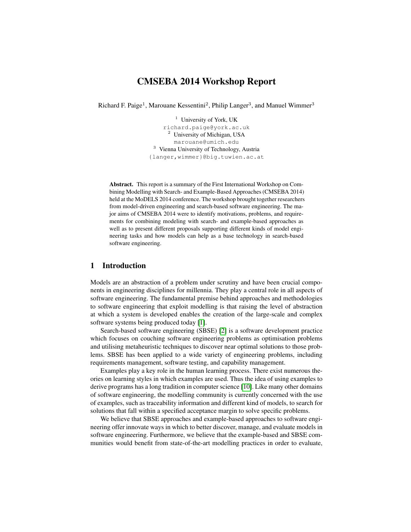# CMSEBA 2014 Workshop Report

Richard F. Paige<sup>1</sup>, Marouane Kessentini<sup>2</sup>, Philip Langer<sup>3</sup>, and Manuel Wimmer<sup>3</sup>

<sup>1</sup> University of York, UK richard.paige@york.ac.uk <sup>2</sup> University of Michigan, USA marouane@umich.edu <sup>3</sup> Vienna University of Technology, Austria {langer,wimmer}@big.tuwien.ac.at

Abstract. This report is a summary of the First International Workshop on Combining Modelling with Search- and Example-Based Approaches (CMSEBA 2014) held at the MoDELS 2014 conference. The workshop brought together researchers from model-driven engineering and search-based software engineering. The major aims of CMSEBA 2014 were to identify motivations, problems, and requirements for combining modeling with search- and example-based approaches as well as to present different proposals supporting different kinds of model engineering tasks and how models can help as a base technology in search-based software engineering.

# 1 Introduction

Models are an abstraction of a problem under scrutiny and have been crucial components in engineering disciplines for millennia. They play a central role in all aspects of software engineering. The fundamental premise behind approaches and methodologies to software engineering that exploit modelling is that raising the level of abstraction at which a system is developed enables the creation of the large-scale and complex software systems being produced today [\[1\]](#page-5-0).

Search-based software engineering (SBSE) [\[2\]](#page-5-1) is a software development practice which focuses on couching software engineering problems as optimisation problems and utilising metaheuristic techniques to discover near optimal solutions to those problems. SBSE has been applied to a wide variety of engineering problems, including requirements management, software testing, and capability management.

Examples play a key role in the human learning process. There exist numerous theories on learning styles in which examples are used. Thus the idea of using examples to derive programs has a long tradition in computer science [\[10\]](#page-5-2). Like many other domains of software engineering, the modelling community is currently concerned with the use of examples, such as traceability information and different kind of models, to search for solutions that fall within a specified acceptance margin to solve specific problems.

We believe that SBSE approaches and example-based approaches to software engineering offer innovate ways in which to better discover, manage, and evaluate models in software engineering. Furthermore, we believe that the example-based and SBSE communities would benefit from state-of-the-art modelling practices in order to evaluate,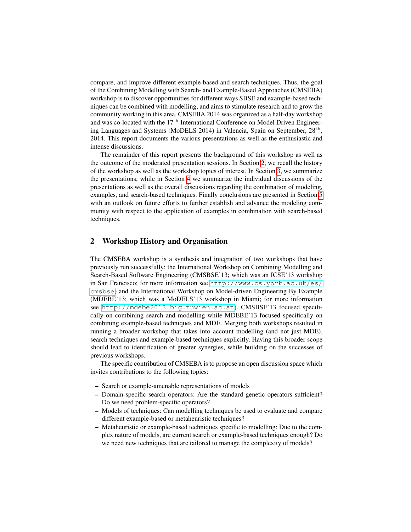compare, and improve different example-based and search techniques. Thus, the goal of the Combining Modelling with Search- and Example-Based Approaches (CMSEBA) workshop is to discover opportunities for different ways SBSE and example-based techniques can be combined with modelling, and aims to stimulate research and to grow the community working in this area. CMSEBA 2014 was organized as a half-day workshop and was co-located with the  $17<sup>th</sup>$  International Conference on Model Driven Engineering Languages and Systems (MoDELS 2014) in Valencia, Spain on September, 28<sup>th</sup>, 2014. This report documents the various presentations as well as the enthusiastic and intense discussions.

The remainder of this report presents the background of this workshop as well as the outcome of the moderated presentation sessions. In Section [2,](#page-1-0) we recall the history of the workshop as well as the workshop topics of interest. In Section [3,](#page-2-0) we summarize the presentations, while in Section [4](#page-3-0) we summarize the individual discussions of the presentations as well as the overall discussions regarding the combination of modeling, examples, and search-based techniques. Finally conclusions are presented in Section [5](#page-5-3) with an outlook on future efforts to further establish and advance the modeling community with respect to the application of examples in combination with search-based techniques.

# <span id="page-1-0"></span>2 Workshop History and Organisation

The CMSEBA workshop is a synthesis and integration of two workshops that have previously run successfully: the International Workshop on Combining Modelling and Search-Based Software Engineering (CMSBSE'13; which was an ICSE'13 workshop in San Francisco; for more information see [http://www.cs.york.ac.uk/es/](http://www.cs.york.ac.uk/es/cmsbse) [cmsbse](http://www.cs.york.ac.uk/es/cmsbse)) and the International Workshop on Model-driven Engineering By Example (MDEBE'13; which was a MoDELS'13 workshop in Miami; for more information see <http://mdebe2013.big.tuwien.ac.at>). CMSBSE'13 focused specifically on combining search and modelling while MDEBE'13 focused specifically on combining example-based techniques and MDE. Merging both workshops resulted in running a broader workshop that takes into account modelling (and not just MDE), search techniques and example-based techniques explicitly. Having this broader scope should lead to identification of greater synergies, while building on the successes of previous workshops.

The specific contribution of CMSEBA is to propose an open discussion space which invites contributions to the following topics:

- Search or example-amenable representations of models
- Domain-specific search operators: Are the standard genetic operators sufficient? Do we need problem-specific operators?
- Models of techniques: Can modelling techniques be used to evaluate and compare different example-based or metaheuristic techniques?
- Metaheuristic or example-based techniques specific to modelling: Due to the complex nature of models, are current search or example-based techniques enough? Do we need new techniques that are tailored to manage the complexity of models?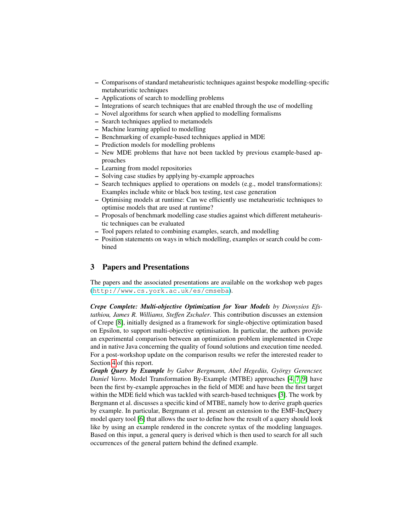- Comparisons of standard metaheuristic techniques against bespoke modelling-specific metaheuristic techniques
- Applications of search to modelling problems
- Integrations of search techniques that are enabled through the use of modelling
- Novel algorithms for search when applied to modelling formalisms
- Search techniques applied to metamodels
- Machine learning applied to modelling
- Benchmarking of example-based techniques applied in MDE
- Prediction models for modelling problems
- New MDE problems that have not been tackled by previous example-based approaches
- Learning from model repositories
- Solving case studies by applying by-example approaches
- Search techniques applied to operations on models (e.g., model transformations): Examples include white or black box testing, test case generation
- Optimising models at runtime: Can we efficiently use metaheuristic techniques to optimise models that are used at runtime?
- Proposals of benchmark modelling case studies against which different metaheuristic techniques can be evaluated
- Tool papers related to combining examples, search, and modelling
- Position statements on ways in which modelling, examples or search could be combined

# <span id="page-2-0"></span>3 Papers and Presentations

The papers and the associated presentations are available on the workshop web pages (<http://www.cs.york.ac.uk/es/cmseba>).

*Crepe Complete: Multi-objective Optimization for Your Models by Dionysios Efstathiou, James R. Williams, Steffen Zschaler*. This contribution discusses an extension of Crepe [\[8\]](#page-5-4), initially designed as a framework for single-objective optimization based on Epsilon, to support multi-objective optimisation. In particular, the authors provide an experimental comparison between an optimization problem implemented in Crepe and in native Java concerning the quality of found solutions and execution time needed. For a post-workshop update on the comparison results we refer the interested reader to Section [4](#page-3-0) of this report.

*Graph Query by Example by Gabor Bergmann, Abel Hegedüs, György Gerencser, Daniel Varro*. Model Transformation By-Example (MTBE) approaches [\[4,](#page-5-5) [7,](#page-5-6) [9\]](#page-5-7) have been the first by-example approaches in the field of MDE and have been the first target within the MDE field which was tackled with search-based techniques [\[3\]](#page-5-8). The work by Bergmann et al. discusses a specific kind of MTBE, namely how to derive graph queries by example. In particular, Bergmann et al. present an extension to the EMF-IncQuery model query tool [\[6\]](#page-5-9) that allows the user to define how the result of a query should look like by using an example rendered in the concrete syntax of the modeling languages. Based on this input, a general query is derived which is then used to search for all such occurrences of the general pattern behind the defined example.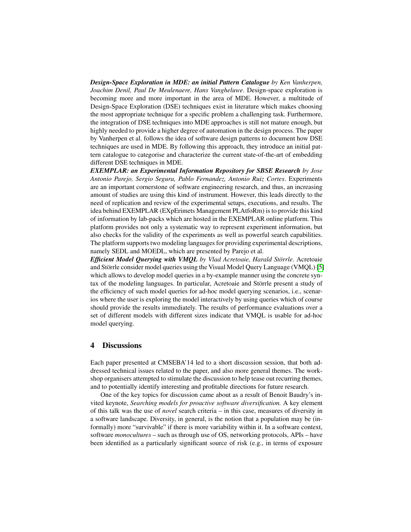*Design-Space Exploration in MDE: an initial Pattern Catalogue by Ken Vanherpen, Joachim Denil, Paul De Meulenaere, Hans Vangheluwe*. Design-space exploration is becoming more and more important in the area of MDE. However, a multitude of Design-Space Exploration (DSE) techniques exist in literature which makes choosing the most appropriate technique for a specific problem a challenging task. Furthermore, the integration of DSE techniques into MDE approaches is still not mature enough, but highly needed to provide a higher degree of automation in the design process. The paper by Vanherpen et al. follows the idea of software design patterns to document how DSE techniques are used in MDE. By following this approach, they introduce an initial pattern catalogue to categorise and characterize the current state-of-the-art of embedding different DSE techniques in MDE.

*EXEMPLAR: an Experimental Information Repository for SBSE Research by Jose Antonio Parejo, Sergio Segura, Pablo Fernandez, Antonio Ruiz Cortes*. Experiments are an important cornerstone of software engineering research, and thus, an increasing amount of studies are using this kind of instrument. However, this leads directly to the need of replication and review of the experimental setups, executions, and results. The idea behind EXEMPLAR (EXpErimets Management PLAtfoRm) is to provide this kind of information by lab-packs which are hosted in the EXEMPLAR online platform. This platform provides not only a systematic way to represent experiment information, but also checks for the validity of the experiments as well as powerful search capabilities. The platform supports two modeling languages for providing experimental descriptions, namely SEDL and MOEDL, which are presented by Parejo et al.

*Efficient Model Querying with VMQL by Vlad Acretoaie, Harald Störrle*. Acretoaie and Störrle consider model queries using the Visual Model Query Language (VMQL) [\[5\]](#page-5-10) which allows to develop model queries in a by-example manner using the concrete syntax of the modeling languages. In particular, Acretoaie and Störrle present a study of the efficiency of such model queries for ad-hoc model querying scenarios, i.e., scenarios where the user is exploring the model interactively by using queries which of course should provide the results immediately. The results of performance evaluations over a set of different models with different sizes indicate that VMQL is usable for ad-hoc model querying.

#### <span id="page-3-0"></span>4 Discussions

Each paper presented at CMSEBA'14 led to a short discussion session, that both addressed technical issues related to the paper, and also more general themes. The workshop organisers attempted to stimulate the discussion to help tease out recurring themes, and to potentially identify interesting and profitable directions for future research.

One of the key topics for discussion came about as a result of Benoit Baudry's invited keynote, *Searching models for proactive software diversification.* A key element of this talk was the use of *novel* search criteria – in this case, measures of diversity in a software landscape. Diversity, in general, is the notion that a population may be (informally) more "survivable" if there is more variability within it. In a software context, software *monocultures* – such as through use of OS, networking protocols, APIs – have been identified as a particularly significant source of risk (e.g., in terms of exposure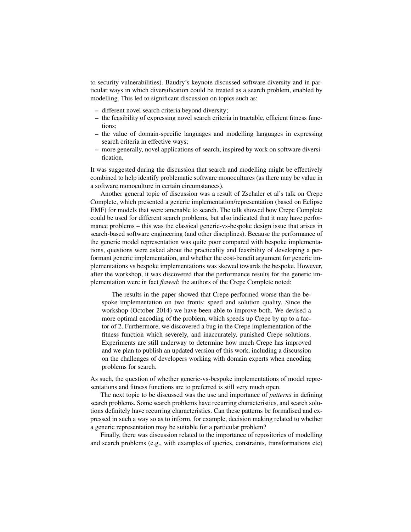to security vulnerabilities). Baudry's keynote discussed software diversity and in particular ways in which diversification could be treated as a search problem, enabled by modelling. This led to significant discussion on topics such as:

- different novel search criteria beyond diversity;
- the feasibility of expressing novel search criteria in tractable, efficient fitness functions;
- the value of domain-specific languages and modelling languages in expressing search criteria in effective ways;
- more generally, novel applications of search, inspired by work on software diversification.

It was suggested during the discussion that search and modelling might be effectively combined to help identify problematic software monocultures (as there may be value in a software monoculture in certain circumstances).

Another general topic of discussion was a result of Zschaler et al's talk on Crepe Complete, which presented a generic implementation/representation (based on Eclipse EMF) for models that were amenable to search. The talk showed how Crepe Complete could be used for different search problems, but also indicated that it may have performance problems – this was the classical generic-vs-bespoke design issue that arises in search-based software engineering (and other disciplines). Because the performance of the generic model representation was quite poor compared with bespoke implementations, questions were asked about the practicality and feasibility of developing a performant generic implementation, and whether the cost-benefit argument for generic implementations vs bespoke implementations was skewed towards the bespoke. However, after the workshop, it was discovered that the performance results for the generic implementation were in fact *flawed*: the authors of the Crepe Complete noted:

The results in the paper showed that Crepe performed worse than the bespoke implementation on two fronts: speed and solution quality. Since the workshop (October 2014) we have been able to improve both. We devised a more optimal encoding of the problem, which speeds up Crepe by up to a factor of 2. Furthermore, we discovered a bug in the Crepe implementation of the fitness function which severely, and inaccurately, punished Crepe solutions. Experiments are still underway to determine how much Crepe has improved and we plan to publish an updated version of this work, including a discussion on the challenges of developers working with domain experts when encoding problems for search.

As such, the question of whether generic-vs-bespoke implementations of model representations and fitness functions are to preferred is still very much open.

The next topic to be discussed was the use and importance of *patterns* in defining search problems. Some search problems have recurring characteristics, and search solutions definitely have recurring characteristics. Can these patterns be formalised and expressed in such a way so as to inform, for example, decision making related to whether a generic representation may be suitable for a particular problem?

Finally, there was discussion related to the importance of repositories of modelling and search problems (e.g., with examples of queries, constraints, transformations etc)